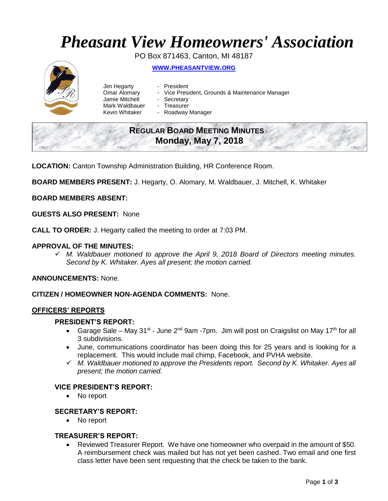# *Pheasant View Homeowners' Association*

PO Box 871463, Canton, MI 48187 **WWW.[PHEASANTVIEW](http://www.pheasantview.org/).ORG**

- Jim Hegarty President
	-
- Omar Alomary Vice President, Grounds & Maintenance Manager
- Jamie Mitchell Secretary
	-
- Mark Waldbauer Treasurer<br>Kevin Whitaker Roadway - Roadway Manager

## **REGULAR BOARD MEETING MINUTES Monday, May 7, 2018**

**LOCATION:** Canton Township Administration Building, HR Conference Room.

**BOARD MEMBERS PRESENT:** J. Hegarty, O. Alomary, M. Waldbauer, J. Mitchell, K. Whitaker

**BOARD MEMBERS ABSENT:**

**GUESTS ALSO PRESENT:** None

**CALL TO ORDER:** J. Hegarty called the meeting to order at 7:03 PM.

#### **APPROVAL OF THE MINUTES:**

 *M. Waldbauer motioned to approve the April 9, 2018 Board of Directors meeting minutes. Second by K. Whitaker. Ayes all present; the motion carried.* 

**ANNOUNCEMENTS:** None.

**CITIZEN / HOMEOWNER NON-AGENDA COMMENTS:** None.

#### **OFFICERS' REPORTS**

#### **PRESIDENT'S REPORT:**

- Garage Sale May 31<sup>st</sup> June 2<sup>nd</sup> 9am -7pm. Jim will post on Craigslist on May 17<sup>th</sup> for all 3 subdivisions.
- June, communications coordinator has been doing this for 25 years and is looking for a replacement. This would include mail chimp, Facebook, and PVHA website.
- *M. Waldbauer motioned to approve the Presidents report. Second by K. Whitaker. Ayes all present; the motion carried.*

#### **VICE PRESIDENT'S REPORT:**

• No report

#### **SECRETARY'S REPORT:**

• No report

#### **TREASURER'S REPORT:**

 Reviewed Treasurer Report. We have one homeowner who overpaid in the amount of \$50. A reimbursement check was mailed but has not yet been cashed. Two email and one first class letter have been sent requesting that the check be taken to the bank.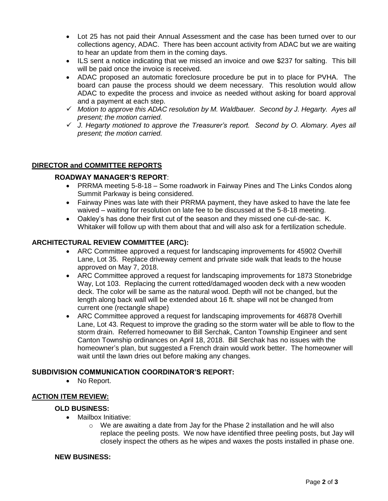- Lot 25 has not paid their Annual Assessment and the case has been turned over to our collections agency, ADAC. There has been account activity from ADAC but we are waiting to hear an update from them in the coming days.
- ILS sent a notice indicating that we missed an invoice and owe \$237 for salting. This bill will be paid once the invoice is received.
- ADAC proposed an automatic foreclosure procedure be put in to place for PVHA. The board can pause the process should we deem necessary. This resolution would allow ADAC to expedite the process and invoice as needed without asking for board approval and a payment at each step.
- *Motion to approve this ADAC resolution by M. Waldbauer. Second by J. Hegarty. Ayes all present; the motion carried.*
- *J. Hegarty motioned to approve the Treasurer's report. Second by O. Alomary. Ayes all present; the motion carried.*

#### **DIRECTOR and COMMITTEE REPORTS**

#### **ROADWAY MANAGER'S REPORT**:

- PRRMA meeting 5-8-18 Some roadwork in Fairway Pines and The Links Condos along Summit Parkway is being considered.
- Fairway Pines was late with their PRRMA payment, they have asked to have the late fee waived – waiting for resolution on late fee to be discussed at the 5-8-18 meeting.
- Oakley's has done their first cut of the season and they missed one cul-de-sac. K. Whitaker will follow up with them about that and will also ask for a fertilization schedule.

#### **ARCHITECTURAL REVIEW COMMITTEE (ARC):**

- ARC Committee approved a request for landscaping improvements for 45902 Overhill Lane, Lot 35. Replace driveway cement and private side walk that leads to the house approved on May 7, 2018.
- ARC Committee approved a request for landscaping improvements for 1873 Stonebridge Way, Lot 103. Replacing the current rotted/damaged wooden deck with a new wooden deck. The color will be same as the natural wood. Depth will not be changed, but the length along back wall will be extended about 16 ft. shape will not be changed from current one (rectangle shape)
- ARC Committee approved a request for landscaping improvements for 46878 Overhill Lane, Lot 43. Request to improve the grading so the storm water will be able to flow to the storm drain. Referred homeowner to Bill Serchak, Canton Township Engineer and sent Canton Township ordinances on April 18, 2018. Bill Serchak has no issues with the homeowner's plan, but suggested a French drain would work better. The homeowner will wait until the lawn dries out before making any changes.

#### **SUBDIVISION COMMUNICATION COORDINATOR'S REPORT:**

• No Report.

### **ACTION ITEM REVIEW:**

#### **OLD BUSINESS:**

- Mailbox Initiative:
	- $\circ$  We are awaiting a date from Jay for the Phase 2 installation and he will also replace the peeling posts. We now have identified three peeling posts, but Jay will closely inspect the others as he wipes and waxes the posts installed in phase one.

#### **NEW BUSINESS:**